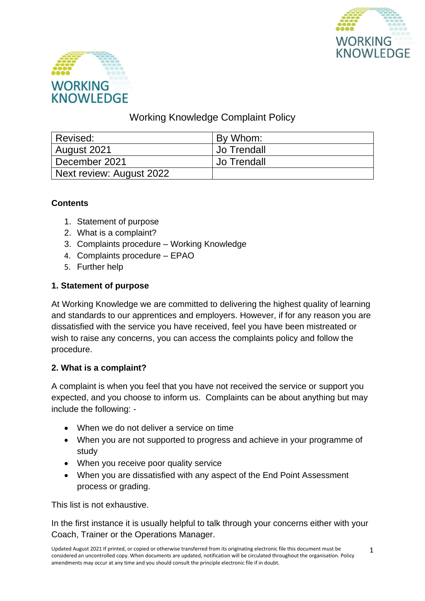



# Working Knowledge Complaint Policy

| l Revised:               | By Whom:           |
|--------------------------|--------------------|
| August 2021              | <b>Jo Trendall</b> |
| December 2021            | ' Jo Trendall      |
| Next review: August 2022 |                    |

# **Contents**

- 1. Statement of purpose
- 2. What is a complaint?
- 3. Complaints procedure Working Knowledge
- 4. Complaints procedure EPAO
- 5. Further help

# **1. Statement of purpose**

At Working Knowledge we are committed to delivering the highest quality of learning and standards to our apprentices and employers. However, if for any reason you are dissatisfied with the service you have received, feel you have been mistreated or wish to raise any concerns, you can access the complaints policy and follow the procedure.

### **2. What is a complaint?**

A complaint is when you feel that you have not received the service or support you expected, and you choose to inform us. Complaints can be about anything but may include the following: -

- When we do not deliver a service on time
- When you are not supported to progress and achieve in your programme of study
- When you receive poor quality service
- When you are dissatisfied with any aspect of the End Point Assessment process or grading.

This list is not exhaustive.

In the first instance it is usually helpful to talk through your concerns either with your Coach, Trainer or the Operations Manager.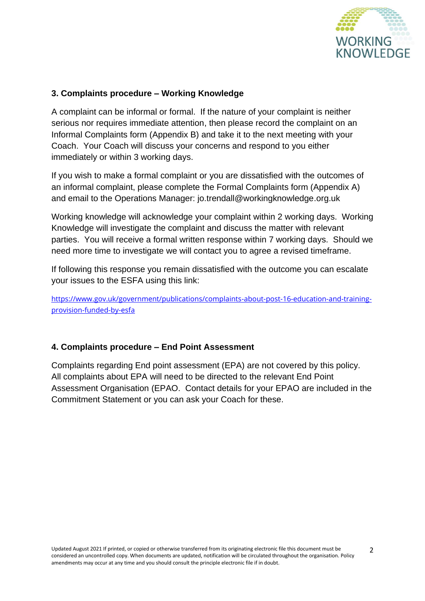

#### **3. Complaints procedure – Working Knowledge**

A complaint can be informal or formal. If the nature of your complaint is neither serious nor requires immediate attention, then please record the complaint on an Informal Complaints form (Appendix B) and take it to the next meeting with your Coach. Your Coach will discuss your concerns and respond to you either immediately or within 3 working days.

If you wish to make a formal complaint or you are dissatisfied with the outcomes of an informal complaint, please complete the Formal Complaints form (Appendix A) and email to the Operations Manager: jo.trendall@workingknowledge.org.uk

Working knowledge will acknowledge your complaint within 2 working days. Working Knowledge will investigate the complaint and discuss the matter with relevant parties. You will receive a formal written response within 7 working days. Should we need more time to investigate we will contact you to agree a revised timeframe.

If following this response you remain dissatisfied with the outcome you can escalate your issues to the ESFA using this link:

[https://www.gov.uk/government/publications/complaints-about-post-16-education-and-training](https://www.gov.uk/government/publications/complaints-about-post-16-education-and-training-provision-funded-by-esfa)[provision-funded-by-esfa](https://www.gov.uk/government/publications/complaints-about-post-16-education-and-training-provision-funded-by-esfa)

#### **4. Complaints procedure – End Point Assessment**

Complaints regarding End point assessment (EPA) are not covered by this policy. All complaints about EPA will need to be directed to the relevant End Point Assessment Organisation (EPAO. Contact details for your EPAO are included in the Commitment Statement or you can ask your Coach for these.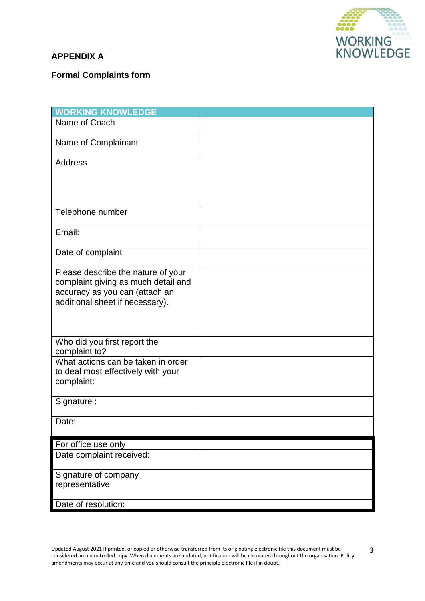

# **APPENDIX A**

### **Formal Complaints form**

| <b>WORKING KNOWLEDGE</b>                                                                                                                       |  |
|------------------------------------------------------------------------------------------------------------------------------------------------|--|
| Name of Coach                                                                                                                                  |  |
| Name of Complainant                                                                                                                            |  |
| <b>Address</b>                                                                                                                                 |  |
|                                                                                                                                                |  |
|                                                                                                                                                |  |
| Telephone number                                                                                                                               |  |
| Email:                                                                                                                                         |  |
| Date of complaint                                                                                                                              |  |
| Please describe the nature of your<br>complaint giving as much detail and<br>accuracy as you can (attach an<br>additional sheet if necessary). |  |
|                                                                                                                                                |  |
| Who did you first report the<br>complaint to?                                                                                                  |  |
| What actions can be taken in order<br>to deal most effectively with your<br>complaint:                                                         |  |
| Signature:                                                                                                                                     |  |
| Date:                                                                                                                                          |  |
| For office use only                                                                                                                            |  |
| Date complaint received:                                                                                                                       |  |
| Signature of company                                                                                                                           |  |
| representative:                                                                                                                                |  |
| Date of resolution:                                                                                                                            |  |